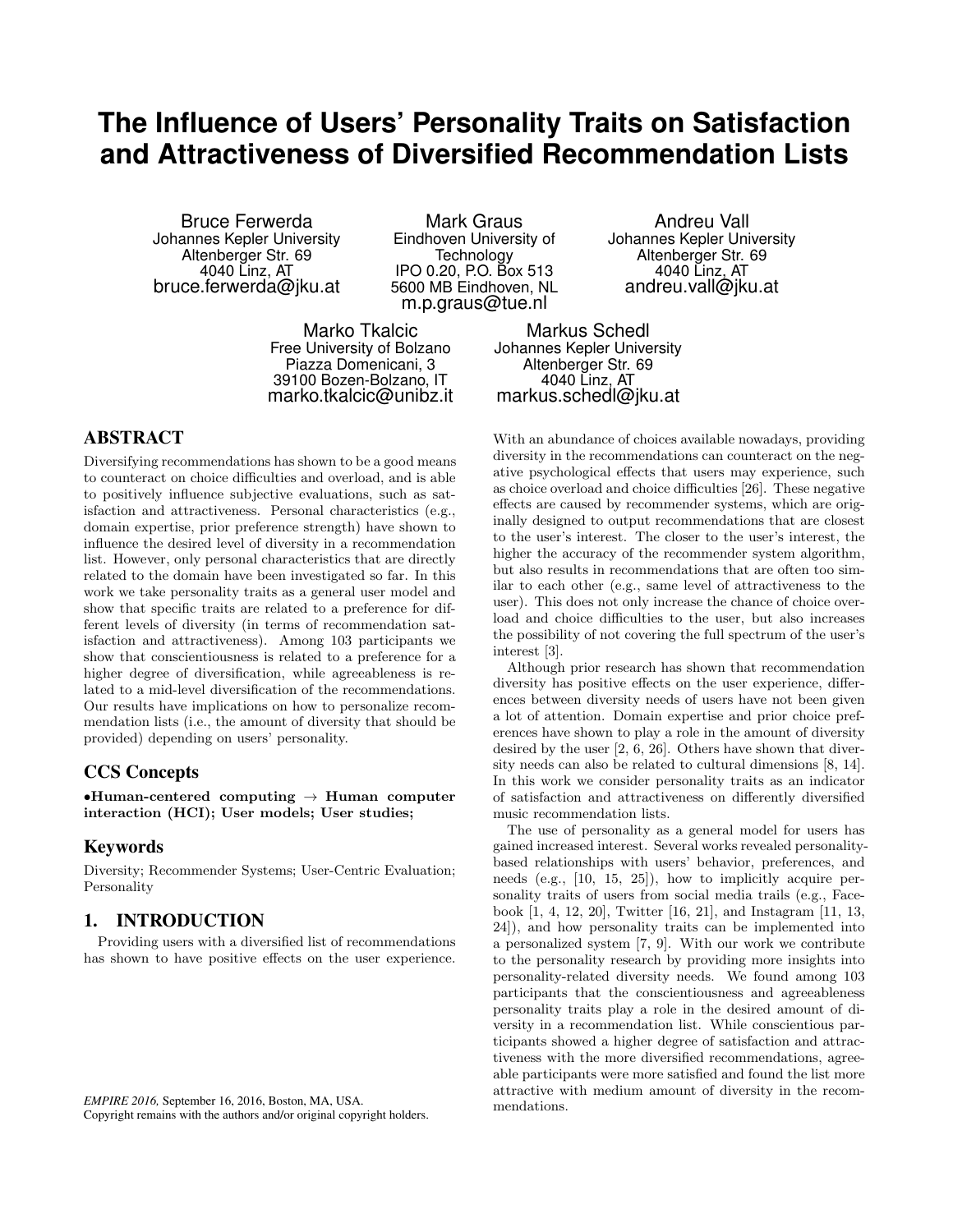# **The Influence of Users' Personality Traits on Satisfaction and Attractiveness of Diversified Recommendation Lists**

Bruce Ferwerda Johannes Kepler University Altenberger Str. 69 4040 Linz, AT bruce.ferwerda@jku.at

Mark Graus Eindhoven University of **Technology** IPO 0.20, P.O. Box 513 5600 MB Eindhoven, NL m.p.graus@tue.nl

Marko Tkalcic Free University of Bolzano Piazza Domenicani, 3 39100 Bozen-Bolzano, IT marko.tkalcic@unibz.it

# ABSTRACT

Diversifying recommendations has shown to be a good means to counteract on choice difficulties and overload, and is able to positively influence subjective evaluations, such as satisfaction and attractiveness. Personal characteristics (e.g., domain expertise, prior preference strength) have shown to influence the desired level of diversity in a recommendation list. However, only personal characteristics that are directly related to the domain have been investigated so far. In this work we take personality traits as a general user model and show that specific traits are related to a preference for different levels of diversity (in terms of recommendation satisfaction and attractiveness). Among 103 participants we show that conscientiousness is related to a preference for a higher degree of diversification, while agreeableness is related to a mid-level diversification of the recommendations. Our results have implications on how to personalize recommendation lists (i.e., the amount of diversity that should be provided) depending on users' personality.

## CCS Concepts

•Human-centered computing  $\rightarrow$  Human computer interaction (HCI); User models; User studies;

#### Keywords

Diversity; Recommender Systems; User-Centric Evaluation; Personality

# 1. INTRODUCTION

Providing users with a diversified list of recommendations has shown to have positive effects on the user experience.

Andreu Vall Johannes Kepler University Altenberger Str. 69 4040 Linz, AT andreu.vall@jku.at

Markus Schedl Johannes Kepler University Altenberger Str. 69 4040 Linz, AT markus.schedl@jku.at

With an abundance of choices available nowadays, providing diversity in the recommendations can counteract on the negative psychological effects that users may experience, such as choice overload and choice difficulties [26]. These negative effects are caused by recommender systems, which are originally designed to output recommendations that are closest to the user's interest. The closer to the user's interest, the higher the accuracy of the recommender system algorithm, but also results in recommendations that are often too similar to each other (e.g., same level of attractiveness to the user). This does not only increase the chance of choice overload and choice difficulties to the user, but also increases the possibility of not covering the full spectrum of the user's interest [3].

Although prior research has shown that recommendation diversity has positive effects on the user experience, differences between diversity needs of users have not been given a lot of attention. Domain expertise and prior choice preferences have shown to play a role in the amount of diversity desired by the user [2, 6, 26]. Others have shown that diversity needs can also be related to cultural dimensions [8, 14]. In this work we consider personality traits as an indicator of satisfaction and attractiveness on differently diversified music recommendation lists.

The use of personality as a general model for users has gained increased interest. Several works revealed personalitybased relationships with users' behavior, preferences, and needs (e.g., [10, 15, 25]), how to implicitly acquire personality traits of users from social media trails (e.g., Facebook [1, 4, 12, 20], Twitter [16, 21], and Instagram [11, 13, 24]), and how personality traits can be implemented into a personalized system [7, 9]. With our work we contribute to the personality research by providing more insights into personality-related diversity needs. We found among 103 participants that the conscientiousness and agreeableness personality traits play a role in the desired amount of diversity in a recommendation list. While conscientious participants showed a higher degree of satisfaction and attractiveness with the more diversified recommendations, agreeable participants were more satisfied and found the list more attractive with medium amount of diversity in the recommendations.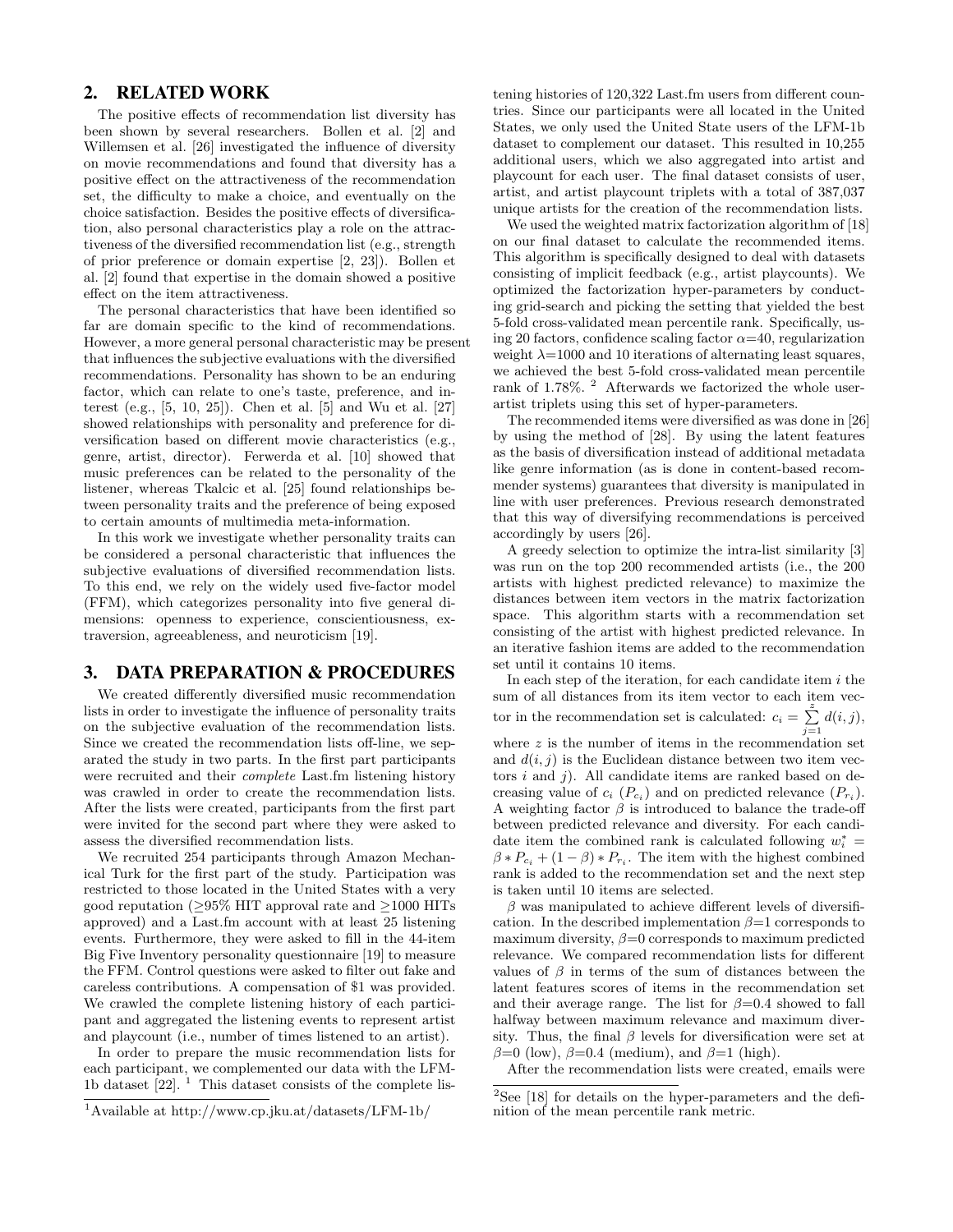## 2. RELATED WORK

The positive effects of recommendation list diversity has been shown by several researchers. Bollen et al. [2] and Willemsen et al. [26] investigated the influence of diversity on movie recommendations and found that diversity has a positive effect on the attractiveness of the recommendation set, the difficulty to make a choice, and eventually on the choice satisfaction. Besides the positive effects of diversification, also personal characteristics play a role on the attractiveness of the diversified recommendation list (e.g., strength of prior preference or domain expertise [2, 23]). Bollen et al. [2] found that expertise in the domain showed a positive effect on the item attractiveness.

The personal characteristics that have been identified so far are domain specific to the kind of recommendations. However, a more general personal characteristic may be present that influences the subjective evaluations with the diversified recommendations. Personality has shown to be an enduring factor, which can relate to one's taste, preference, and interest (e.g., [5, 10, 25]). Chen et al. [5] and Wu et al. [27] showed relationships with personality and preference for diversification based on different movie characteristics (e.g., genre, artist, director). Ferwerda et al. [10] showed that music preferences can be related to the personality of the listener, whereas Tkalcic et al. [25] found relationships between personality traits and the preference of being exposed to certain amounts of multimedia meta-information.

In this work we investigate whether personality traits can be considered a personal characteristic that influences the subjective evaluations of diversified recommendation lists. To this end, we rely on the widely used five-factor model (FFM), which categorizes personality into five general dimensions: openness to experience, conscientiousness, extraversion, agreeableness, and neuroticism [19].

# 3. DATA PREPARATION & PROCEDURES

We created differently diversified music recommendation lists in order to investigate the influence of personality traits on the subjective evaluation of the recommendation lists. Since we created the recommendation lists off-line, we separated the study in two parts. In the first part participants were recruited and their complete Last.fm listening history was crawled in order to create the recommendation lists. After the lists were created, participants from the first part were invited for the second part where they were asked to assess the diversified recommendation lists.

We recruited 254 participants through Amazon Mechanical Turk for the first part of the study. Participation was restricted to those located in the United States with a very good reputation ( $\geq$ 95% HIT approval rate and  $\geq$ 1000 HITs approved) and a Last.fm account with at least 25 listening events. Furthermore, they were asked to fill in the 44-item Big Five Inventory personality questionnaire [19] to measure the FFM. Control questions were asked to filter out fake and careless contributions. A compensation of \$1 was provided. We crawled the complete listening history of each participant and aggregated the listening events to represent artist and playcount (i.e., number of times listened to an artist).

In order to prepare the music recommendation lists for each participant, we complemented our data with the LFM-1b dataset  $[22]$ . <sup>1</sup> This dataset consists of the complete listening histories of 120,322 Last.fm users from different countries. Since our participants were all located in the United States, we only used the United State users of the LFM-1b dataset to complement our dataset. This resulted in 10,255 additional users, which we also aggregated into artist and playcount for each user. The final dataset consists of user, artist, and artist playcount triplets with a total of 387,037 unique artists for the creation of the recommendation lists.

We used the weighted matrix factorization algorithm of [18] on our final dataset to calculate the recommended items. This algorithm is specifically designed to deal with datasets consisting of implicit feedback (e.g., artist playcounts). We optimized the factorization hyper-parameters by conducting grid-search and picking the setting that yielded the best 5-fold cross-validated mean percentile rank. Specifically, using 20 factors, confidence scaling factor  $\alpha$ =40, regularization weight  $\lambda = 1000$  and 10 iterations of alternating least squares, we achieved the best 5-fold cross-validated mean percentile rank of 1.78%. <sup>2</sup> Afterwards we factorized the whole userartist triplets using this set of hyper-parameters.

The recommended items were diversified as was done in [26] by using the method of [28]. By using the latent features as the basis of diversification instead of additional metadata like genre information (as is done in content-based recommender systems) guarantees that diversity is manipulated in line with user preferences. Previous research demonstrated that this way of diversifying recommendations is perceived accordingly by users [26].

A greedy selection to optimize the intra-list similarity [3] was run on the top 200 recommended artists (i.e., the 200 artists with highest predicted relevance) to maximize the distances between item vectors in the matrix factorization space. This algorithm starts with a recommendation set consisting of the artist with highest predicted relevance. In an iterative fashion items are added to the recommendation set until it contains 10 items.

In each step of the iteration, for each candidate item  $i$  the sum of all distances from its item vector to each item vector in the recommendation set is calculated:  $c_i = \sum_{j=1}^{z} d(i, j)$ , where  $z$  is the number of items in the recommendation set

and  $d(i, j)$  is the Euclidean distance between two item vectors  $i$  and  $j$ ). All candidate items are ranked based on decreasing value of  $c_i$  ( $P_{c_i}$ ) and on predicted relevance ( $P_{r_i}$ ). A weighting factor  $\beta$  is introduced to balance the trade-off between predicted relevance and diversity. For each candidate item the combined rank is calculated following  $w_i^* =$  $\beta * P_{c_i} + (1 - \beta) * P_{r_i}$ . The item with the highest combined rank is added to the recommendation set and the next step is taken until 10 items are selected.

 $\beta$  was manipulated to achieve different levels of diversification. In the described implementation  $\beta = 1$  corresponds to maximum diversity,  $\beta = 0$  corresponds to maximum predicted relevance. We compared recommendation lists for different values of  $\beta$  in terms of the sum of distances between the latent features scores of items in the recommendation set and their average range. The list for  $\beta = 0.4$  showed to fall halfway between maximum relevance and maximum diversity. Thus, the final  $\beta$  levels for diversification were set at  $\beta=0$  (low),  $\beta=0.4$  (medium), and  $\beta=1$  (high).

After the recommendation lists were created, emails were

<sup>1</sup>Available at http://www.cp.jku.at/datasets/LFM-1b/

 $2$ See [18] for details on the hyper-parameters and the definition of the mean percentile rank metric.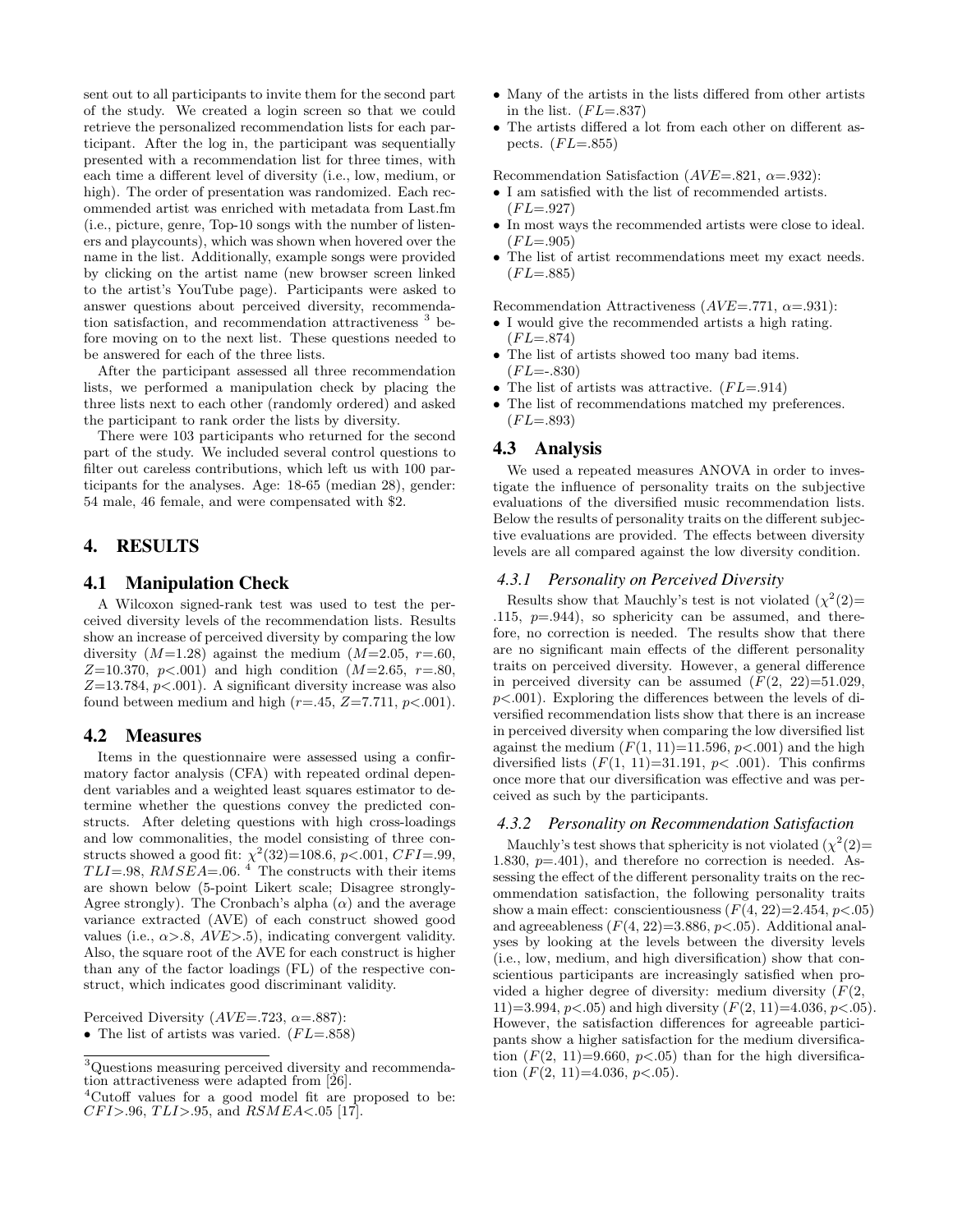sent out to all participants to invite them for the second part of the study. We created a login screen so that we could retrieve the personalized recommendation lists for each participant. After the log in, the participant was sequentially presented with a recommendation list for three times, with each time a different level of diversity (i.e., low, medium, or high). The order of presentation was randomized. Each recommended artist was enriched with metadata from Last.fm (i.e., picture, genre, Top-10 songs with the number of listeners and playcounts), which was shown when hovered over the name in the list. Additionally, example songs were provided by clicking on the artist name (new browser screen linked to the artist's YouTube page). Participants were asked to answer questions about perceived diversity, recommendation satisfaction, and recommendation attractiveness  $3$  before moving on to the next list. These questions needed to be answered for each of the three lists.

After the participant assessed all three recommendation lists, we performed a manipulation check by placing the three lists next to each other (randomly ordered) and asked the participant to rank order the lists by diversity.

There were 103 participants who returned for the second part of the study. We included several control questions to filter out careless contributions, which left us with 100 participants for the analyses. Age: 18-65 (median 28), gender: 54 male, 46 female, and were compensated with \$2.

#### 4. RESULTS

#### 4.1 Manipulation Check

A Wilcoxon signed-rank test was used to test the perceived diversity levels of the recommendation lists. Results show an increase of perceived diversity by comparing the low diversity  $(M=1.28)$  against the medium  $(M=2.05, r=.60,$  $Z=10.370, p<.001$  and high condition  $(M=2.65, r=.80,$  $Z=13.784$ ,  $p<.001$ ). A significant diversity increase was also found between medium and high  $(r=.45, Z=7.711, p<.001)$ .

## 4.2 Measures

Items in the questionnaire were assessed using a confirmatory factor analysis (CFA) with repeated ordinal dependent variables and a weighted least squares estimator to determine whether the questions convey the predicted constructs. After deleting questions with high cross-loadings and low commonalities, the model consisting of three constructs showed a good fit:  $\chi^2(32)$ =108.6, p<.001, CFI=.99,  $TLI = .98$ ,  $RMSEA = .06$ .<sup>4</sup> The constructs with their items are shown below (5-point Likert scale; Disagree strongly-Agree strongly). The Cronbach's alpha  $(\alpha)$  and the average variance extracted (AVE) of each construct showed good values (i.e.,  $\alpha > 8$ ,  $AVE > 5$ ), indicating convergent validity. Also, the square root of the AVE for each construct is higher than any of the factor loadings (FL) of the respective construct, which indicates good discriminant validity.

Perceived Diversity ( $AVE = .723$ ,  $\alpha = .887$ ):

• The list of artists was varied.  $(FL = .858)$ 

- Many of the artists in the lists differed from other artists in the list.  $(FL = .837)$
- The artists differed a lot from each other on different aspects.  $(FL=.855)$

Recommendation Satisfaction ( $AVE=.821$ ,  $\alpha=.932$ ):

- I am satisfied with the list of recommended artists.  $(FL = .927)$
- In most ways the recommended artists were close to ideal.  $(FL = .905)$
- The list of artist recommendations meet my exact needs.  $(FL = .885)$

Recommendation Attractiveness ( $AVE=.771$ ,  $\alpha=.931$ ):

- I would give the recommended artists a high rating.  $(FL = .874)$
- The list of artists showed too many bad items.  $(FL = -0.830)$
- The list of artists was attractive.  $(FL = .914)$
- The list of recommendations matched my preferences.  $(FL = .893)$

#### 4.3 Analysis

We used a repeated measures ANOVA in order to investigate the influence of personality traits on the subjective evaluations of the diversified music recommendation lists. Below the results of personality traits on the different subjective evaluations are provided. The effects between diversity levels are all compared against the low diversity condition.

#### *4.3.1 Personality on Perceived Diversity*

Results show that Mauchly's test is not violated  $(\chi^2(2))$ = .115,  $p=0.944$ ), so sphericity can be assumed, and therefore, no correction is needed. The results show that there are no significant main effects of the different personality traits on perceived diversity. However, a general difference in perceived diversity can be assumed  $(F(2, 22)=51.029$ .  $p<.001$ ). Exploring the differences between the levels of diversified recommendation lists show that there is an increase in perceived diversity when comparing the low diversified list against the medium  $(F(1, 11)=11.596, p<.001)$  and the high diversified lists  $(F(1, 11)=31.191, p<.001)$ . This confirms once more that our diversification was effective and was perceived as such by the participants.

#### *4.3.2 Personality on Recommendation Satisfaction*

Mauchly's test shows that sphericity is not violated  $(\chi^2(2))$ = 1.830,  $p=401$ ), and therefore no correction is needed. Assessing the effect of the different personality traits on the recommendation satisfaction, the following personality traits show a main effect: conscientiousness  $(F(4, 22)=2.454, p<.05)$ and agreeableness  $(F(4, 22)=3.886, p<.05)$ . Additional analyses by looking at the levels between the diversity levels (i.e., low, medium, and high diversification) show that conscientious participants are increasingly satisfied when provided a higher degree of diversity: medium diversity  $(F(2, \mathbb{C}))$ 11)=3.994,  $p < .05$ ) and high diversity  $(F(2, 11)=4.036, p < .05)$ . However, the satisfaction differences for agreeable participants show a higher satisfaction for the medium diversification  $(F(2, 11)=9.660, p<0.65)$  than for the high diversification  $(F(2, 11)=4.036, p<.05)$ .

<sup>3</sup>Questions measuring perceived diversity and recommendation attractiveness were adapted from [26].

<sup>&</sup>lt;sup>4</sup>Cutoff values for a good model fit are proposed to be:  $CFI > .96, TLI > .95,$  and  $RSMEA < .05$  [17].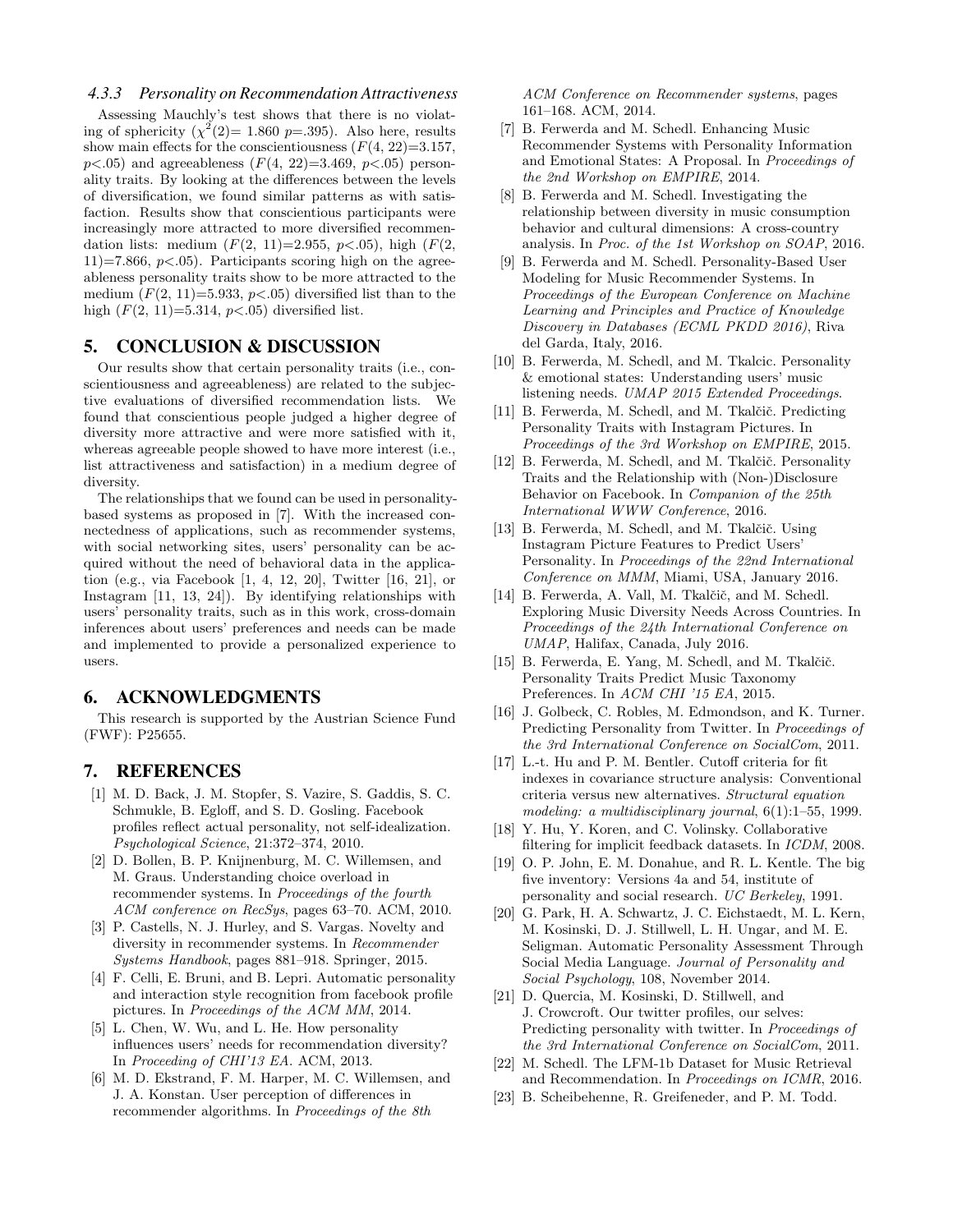#### *4.3.3 Personality on Recommendation Attractiveness*

Assessing Mauchly's test shows that there is no violating of sphericity  $(\chi^2(2)=1.860 \text{ p}=.395)$ . Also here, results show main effects for the conscientiousness  $(F(4, 22)=3.157,$  $p<.05$ ) and agreeableness  $(F(4, 22)=3.469, p<.05)$  personality traits. By looking at the differences between the levels of diversification, we found similar patterns as with satisfaction. Results show that conscientious participants were increasingly more attracted to more diversified recommendation lists: medium  $(F(2, 11)=2.955, p<0.05)$ , high  $(F(2, 11)=2.955, p<0.05)$  $11$ )=7.866,  $p<0.05$ ). Participants scoring high on the agreeableness personality traits show to be more attracted to the medium  $(F(2, 11)=5.933, p<0.05)$  diversified list than to the high  $(F(2, 11)=5.314, p<.05)$  diversified list.

## 5. CONCLUSION & DISCUSSION

Our results show that certain personality traits (i.e., conscientiousness and agreeableness) are related to the subjective evaluations of diversified recommendation lists. We found that conscientious people judged a higher degree of diversity more attractive and were more satisfied with it, whereas agreeable people showed to have more interest (i.e., list attractiveness and satisfaction) in a medium degree of diversity.

The relationships that we found can be used in personalitybased systems as proposed in [7]. With the increased connectedness of applications, such as recommender systems, with social networking sites, users' personality can be acquired without the need of behavioral data in the application (e.g., via Facebook [1, 4, 12, 20], Twitter [16, 21], or Instagram [11, 13, 24]). By identifying relationships with users' personality traits, such as in this work, cross-domain inferences about users' preferences and needs can be made and implemented to provide a personalized experience to users.

## 6. ACKNOWLEDGMENTS

This research is supported by the Austrian Science Fund (FWF): P25655.

## 7. REFERENCES

- [1] M. D. Back, J. M. Stopfer, S. Vazire, S. Gaddis, S. C. Schmukle, B. Egloff, and S. D. Gosling. Facebook profiles reflect actual personality, not self-idealization. Psychological Science, 21:372–374, 2010.
- [2] D. Bollen, B. P. Knijnenburg, M. C. Willemsen, and M. Graus. Understanding choice overload in recommender systems. In Proceedings of the fourth ACM conference on RecSys, pages 63–70. ACM, 2010.
- [3] P. Castells, N. J. Hurley, and S. Vargas. Novelty and diversity in recommender systems. In Recommender Systems Handbook, pages 881–918. Springer, 2015.
- [4] F. Celli, E. Bruni, and B. Lepri. Automatic personality and interaction style recognition from facebook profile pictures. In Proceedings of the ACM MM, 2014.
- [5] L. Chen, W. Wu, and L. He. How personality influences users' needs for recommendation diversity? In Proceeding of CHI'13 EA. ACM, 2013.
- [6] M. D. Ekstrand, F. M. Harper, M. C. Willemsen, and J. A. Konstan. User perception of differences in recommender algorithms. In Proceedings of the 8th

ACM Conference on Recommender systems, pages 161–168. ACM, 2014.

- [7] B. Ferwerda and M. Schedl. Enhancing Music Recommender Systems with Personality Information and Emotional States: A Proposal. In Proceedings of the 2nd Workshop on EMPIRE, 2014.
- [8] B. Ferwerda and M. Schedl. Investigating the relationship between diversity in music consumption behavior and cultural dimensions: A cross-country analysis. In Proc. of the 1st Workshop on SOAP, 2016.
- [9] B. Ferwerda and M. Schedl. Personality-Based User Modeling for Music Recommender Systems. In Proceedings of the European Conference on Machine Learning and Principles and Practice of Knowledge Discovery in Databases (ECML PKDD 2016), Riva del Garda, Italy, 2016.
- [10] B. Ferwerda, M. Schedl, and M. Tkalcic. Personality & emotional states: Understanding users' music listening needs. UMAP 2015 Extended Proceedings.
- [11] B. Ferwerda, M. Schedl, and M. Tkalčič. Predicting Personality Traits with Instagram Pictures. In Proceedings of the 3rd Workshop on EMPIRE, 2015.
- [12] B. Ferwerda, M. Schedl, and M. Tkalčič. Personality Traits and the Relationship with (Non-)Disclosure Behavior on Facebook. In Companion of the 25th International WWW Conference, 2016.
- [13] B. Ferwerda, M. Schedl, and M. Tkalčič. Using Instagram Picture Features to Predict Users' Personality. In Proceedings of the 22nd International Conference on MMM, Miami, USA, January 2016.
- [14] B. Ferwerda, A. Vall, M. Tkalčič, and M. Schedl. Exploring Music Diversity Needs Across Countries. In Proceedings of the 24th International Conference on UMAP, Halifax, Canada, July 2016.
- [15] B. Ferwerda, E. Yang, M. Schedl, and M. Tkalčič. Personality Traits Predict Music Taxonomy Preferences. In ACM CHI '15 EA, 2015.
- [16] J. Golbeck, C. Robles, M. Edmondson, and K. Turner. Predicting Personality from Twitter. In Proceedings of the 3rd International Conference on SocialCom, 2011.
- [17] L.-t. Hu and P. M. Bentler. Cutoff criteria for fit indexes in covariance structure analysis: Conventional criteria versus new alternatives. Structural equation modeling: a multidisciplinary journal,  $6(1)$ :1–55, 1999.
- [18] Y. Hu, Y. Koren, and C. Volinsky. Collaborative filtering for implicit feedback datasets. In ICDM, 2008.
- [19] O. P. John, E. M. Donahue, and R. L. Kentle. The big five inventory: Versions 4a and 54, institute of personality and social research. UC Berkeley, 1991.
- [20] G. Park, H. A. Schwartz, J. C. Eichstaedt, M. L. Kern, M. Kosinski, D. J. Stillwell, L. H. Ungar, and M. E. Seligman. Automatic Personality Assessment Through Social Media Language. Journal of Personality and Social Psychology, 108, November 2014.
- [21] D. Quercia, M. Kosinski, D. Stillwell, and J. Crowcroft. Our twitter profiles, our selves: Predicting personality with twitter. In Proceedings of the 3rd International Conference on SocialCom, 2011.
- [22] M. Schedl. The LFM-1b Dataset for Music Retrieval and Recommendation. In Proceedings on ICMR, 2016.
- [23] B. Scheibehenne, R. Greifeneder, and P. M. Todd.